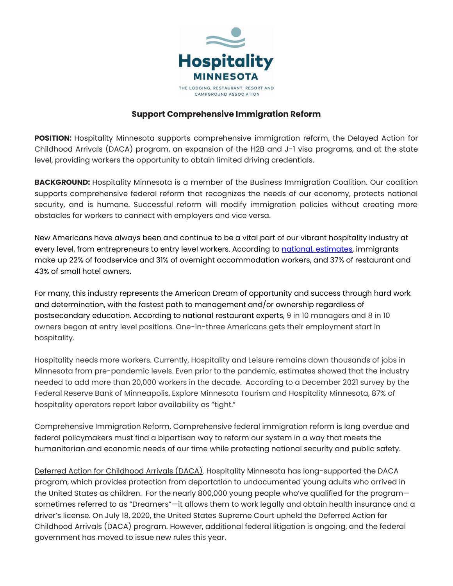

## **Support Comprehensive Immigration Reform**

**POSITION:** Hospitality Minnesota supports comprehensive immigration reform, the Delayed Action for Childhood Arrivals (DACA) program, an expansion of the H2B and J-1 visa programs, and at the state level, providing workers the opportunity to obtain limited driving credentials.

**BACKGROUND:** Hospitality Minnesota is a member of the Business Immigration Coalition. Our coalition supports comprehensive federal reform that recognizes the needs of our economy, protects national security, and is humane. Successful reform will modify immigration policies without creating more obstacles for workers to connect with employers and vice versa.

New Americans have always been and continue to be a vital part of our vibrant hospitality industry at every level, from entrepreneurs to entry level workers. According to national, [estimates,](https://www.chicagotribune.com/business/ct-hospitality-needs-more-immigrants-report-0825-biz-20170824-story.html) immigrants make up 22% of foodservice and 31% of overnight accommodation workers, and 37% of restaurant and 43% of small hotel owners.

For many, this industry represents the American Dream of opportunity and success through hard work and determination, with the fastest path to management and/or ownership regardless of postsecondary education. According to national restaurant experts, 9 in 10 managers and 8 in 10 owners began at entry level positions. One-in-three Americans gets their employment start in hospitality.

Hospitality needs more workers. Currently, Hospitality and Leisure remains down thousands of jobs in Minnesota from pre-pandemic levels. Even prior to the pandemic, estimates showed that the industry needed to add more than 20,000 workers in the decade. According to a December 2021 survey by the Federal Reserve Bank of Minneapolis, Explore Minnesota Tourism and Hospitality Minnesota, 87% of hospitality operators report labor availability as "tight."

Comprehensive Immigration Reform. Comprehensive federal immigration reform is long overdue and federal policymakers must find a bipartisan way to reform our system in a way that meets the humanitarian and economic needs of our time while protecting national security and public safety.

Deferred Action for Childhood Arrivals (DACA). Hospitality Minnesota has long-supported the DACA program, which provides protection from deportation to undocumented young adults who arrived in the United States as children. For the nearly 800,000 young people who've qualified for the program sometimes referred to as "Dreamers"—it allows them to work legally and obtain health insurance and a driver's license. On July 18, 2020, the United States Supreme Court upheld the Deferred Action for Childhood Arrivals (DACA) program. However, additional federal litigation is ongoing, and the federal government has moved to issue new rules this year.